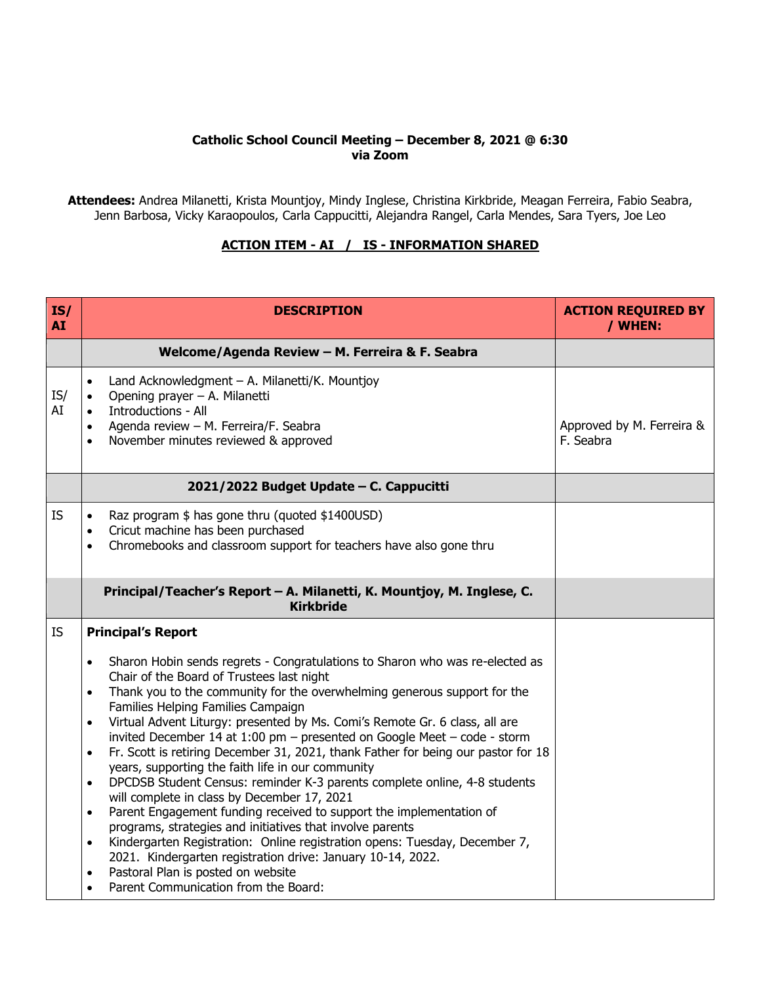## **Catholic School Council Meeting – December 8, 2021 @ 6:30 via Zoom**

**Attendees:** Andrea Milanetti, Krista Mountjoy, Mindy Inglese, Christina Kirkbride, Meagan Ferreira, Fabio Seabra, Jenn Barbosa, Vicky Karaopoulos, Carla Cappucitti, Alejandra Rangel, Carla Mendes, Sara Tyers, Joe Leo

## **ACTION ITEM - AI / IS - INFORMATION SHARED**

| IS/<br><b>AI</b> | <b>DESCRIPTION</b>                                                                                                                                                                                                                                                                                                                                                                                                                                                                                                                                                                                                                                                                                                                                                                                                                                                                                                                                                                                                                                                                                                                                               | <b>ACTION REQUIRED BY</b><br>/ WHEN:   |
|------------------|------------------------------------------------------------------------------------------------------------------------------------------------------------------------------------------------------------------------------------------------------------------------------------------------------------------------------------------------------------------------------------------------------------------------------------------------------------------------------------------------------------------------------------------------------------------------------------------------------------------------------------------------------------------------------------------------------------------------------------------------------------------------------------------------------------------------------------------------------------------------------------------------------------------------------------------------------------------------------------------------------------------------------------------------------------------------------------------------------------------------------------------------------------------|----------------------------------------|
|                  | Welcome/Agenda Review - M. Ferreira & F. Seabra                                                                                                                                                                                                                                                                                                                                                                                                                                                                                                                                                                                                                                                                                                                                                                                                                                                                                                                                                                                                                                                                                                                  |                                        |
| IS/<br>AI        | Land Acknowledgment - A. Milanetti/K. Mountjoy<br>$\bullet$<br>Opening prayer - A. Milanetti<br>$\bullet$<br>Introductions - All<br>$\bullet$<br>Agenda review - M. Ferreira/F. Seabra<br>$\bullet$<br>November minutes reviewed & approved<br>$\bullet$                                                                                                                                                                                                                                                                                                                                                                                                                                                                                                                                                                                                                                                                                                                                                                                                                                                                                                         | Approved by M. Ferreira &<br>F. Seabra |
|                  | 2021/2022 Budget Update - C. Cappucitti                                                                                                                                                                                                                                                                                                                                                                                                                                                                                                                                                                                                                                                                                                                                                                                                                                                                                                                                                                                                                                                                                                                          |                                        |
| <b>IS</b>        | Raz program \$ has gone thru (quoted \$1400USD)<br>$\bullet$<br>Cricut machine has been purchased<br>$\bullet$<br>Chromebooks and classroom support for teachers have also gone thru<br>$\bullet$                                                                                                                                                                                                                                                                                                                                                                                                                                                                                                                                                                                                                                                                                                                                                                                                                                                                                                                                                                |                                        |
|                  | Principal/Teacher's Report - A. Milanetti, K. Mountjoy, M. Inglese, C.<br><b>Kirkbride</b>                                                                                                                                                                                                                                                                                                                                                                                                                                                                                                                                                                                                                                                                                                                                                                                                                                                                                                                                                                                                                                                                       |                                        |
| IS.              | <b>Principal's Report</b>                                                                                                                                                                                                                                                                                                                                                                                                                                                                                                                                                                                                                                                                                                                                                                                                                                                                                                                                                                                                                                                                                                                                        |                                        |
|                  | Sharon Hobin sends regrets - Congratulations to Sharon who was re-elected as<br>$\bullet$<br>Chair of the Board of Trustees last night<br>Thank you to the community for the overwhelming generous support for the<br>$\bullet$<br>Families Helping Families Campaign<br>Virtual Advent Liturgy: presented by Ms. Comi's Remote Gr. 6 class, all are<br>$\bullet$<br>invited December 14 at 1:00 pm - presented on Google Meet - code - storm<br>Fr. Scott is retiring December 31, 2021, thank Father for being our pastor for 18<br>$\bullet$<br>years, supporting the faith life in our community<br>DPCDSB Student Census: reminder K-3 parents complete online, 4-8 students<br>$\bullet$<br>will complete in class by December 17, 2021<br>Parent Engagement funding received to support the implementation of<br>$\bullet$<br>programs, strategies and initiatives that involve parents<br>Kindergarten Registration: Online registration opens: Tuesday, December 7,<br>$\bullet$<br>2021. Kindergarten registration drive: January 10-14, 2022.<br>Pastoral Plan is posted on website<br>$\bullet$<br>Parent Communication from the Board:<br>$\bullet$ |                                        |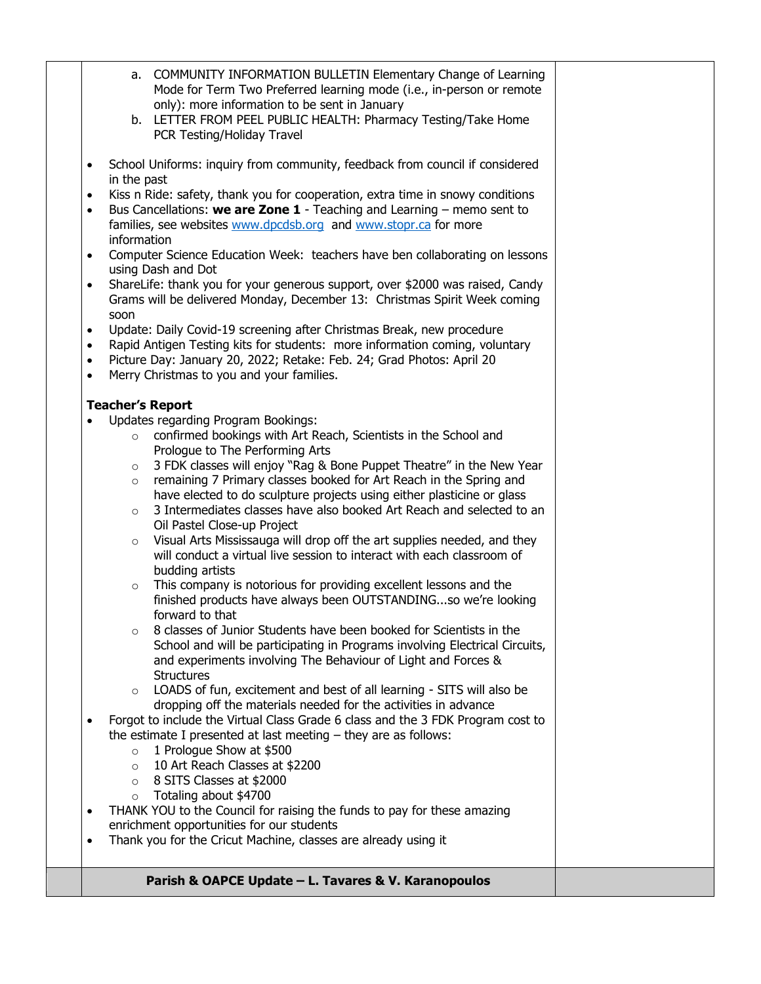- a. COMMUNITY INFORMATION BULLETIN Elementary Change of Learning Mode for Term Two Preferred learning mode (i.e., in-person or remote only): more information to be sent in January
- b. LETTER FROM PEEL PUBLIC HEALTH: Pharmacy Testing/Take Home PCR Testing/Holiday Travel
- School Uniforms: inquiry from community, feedback from council if considered in the past
- Kiss n Ride: safety, thank you for cooperation, extra time in snowy conditions
- Bus Cancellations: **we are Zone 1** Teaching and Learning memo sent to families, see websites [www.dpcdsb.org](http://www.dpcdsb.org/) and [www.stopr.ca](http://www.stopr.ca/) for more information
- Computer Science Education Week: teachers have ben collaborating on lessons using Dash and Dot
- ShareLife: thank you for your generous support, over \$2000 was raised, Candy Grams will be delivered Monday, December 13: Christmas Spirit Week coming soon
- Update: Daily Covid-19 screening after Christmas Break, new procedure
- Rapid Antigen Testing kits for students: more information coming, voluntary
- Picture Day: January 20, 2022; Retake: Feb. 24; Grad Photos: April 20
- Merry Christmas to you and your families.

## **Teacher's Report**

- Updates regarding Program Bookings:
	- o confirmed bookings with Art Reach, Scientists in the School and Prologue to The Performing Arts
	- o 3 FDK classes will enjoy "Rag & Bone Puppet Theatre" in the New Year
	- o remaining 7 Primary classes booked for Art Reach in the Spring and have elected to do sculpture projects using either plasticine or glass
	- o 3 Intermediates classes have also booked Art Reach and selected to an Oil Pastel Close-up Project
	- o Visual Arts Mississauga will drop off the art supplies needed, and they will conduct a virtual live session to interact with each classroom of budding artists
	- $\circ$  This company is notorious for providing excellent lessons and the finished products have always been OUTSTANDING...so we're looking forward to that
	- o 8 classes of Junior Students have been booked for Scientists in the School and will be participating in Programs involving Electrical Circuits, and experiments involving The Behaviour of Light and Forces & **Structures**
	- o LOADS of fun, excitement and best of all learning SITS will also be dropping off the materials needed for the activities in advance
- Forgot to include the Virtual Class Grade 6 class and the 3 FDK Program cost to the estimate I presented at last meeting – they are as follows:
	- o 1 Prologue Show at \$500
	- o 10 Art Reach Classes at \$2200
	- o 8 SITS Classes at \$2000
	- o Totaling about \$4700
- THANK YOU to the Council for raising the funds to pay for these amazing enrichment opportunities for our students
- Thank you for the Cricut Machine, classes are already using it